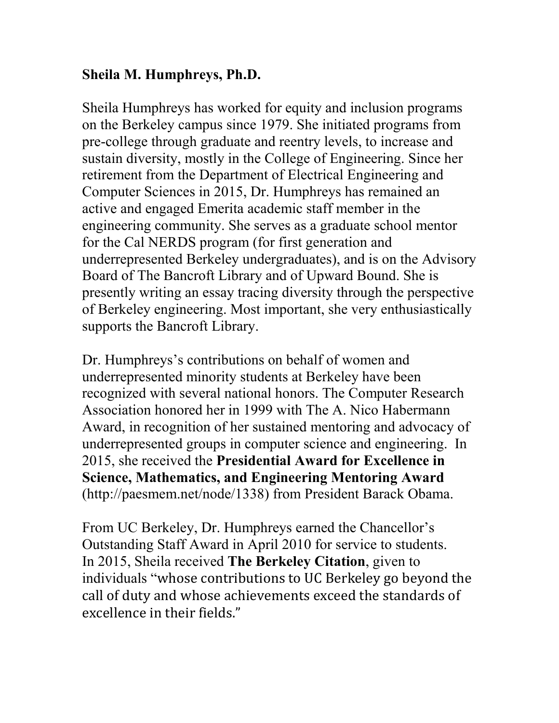## **Sheila M. Humphreys, Ph.D.**

Sheila Humphreys has worked for equity and inclusion programs on the Berkeley campus since 1979. She initiated programs from pre-college through graduate and reentry levels, to increase and sustain diversity, mostly in the College of Engineering. Since her retirement from the Department of Electrical Engineering and Computer Sciences in 2015, Dr. Humphreys has remained an active and engaged Emerita academic staff member in the engineering community. She serves as a graduate school mentor for the Cal NERDS program (for first generation and underrepresented Berkeley undergraduates), and is on the Advisory Board of The Bancroft Library and of Upward Bound. She is presently writing an essay tracing diversity through the perspective of Berkeley engineering. Most important, she very enthusiastically supports the Bancroft Library.

Dr. Humphreys's contributions on behalf of women and underrepresented minority students at Berkeley have been recognized with several national honors. The Computer Research Association honored her in 1999 with The A. Nico Habermann Award, in recognition of her sustained mentoring and advocacy of underrepresented groups in computer science and engineering. In 2015, she received the **Presidential Award for Excellence in Science, Mathematics, and Engineering Mentoring Award** (http://paesmem.net/node/1338) from President Barack Obama.

From UC Berkeley, Dr. Humphreys earned the Chancellor's Outstanding Staff Award in April 2010 for service to students. In 2015, Sheila received **The Berkeley Citation**, given to individuals "whose contributions to UC Berkeley go beyond the call of duty and whose achievements exceed the standards of excellence in their fields."